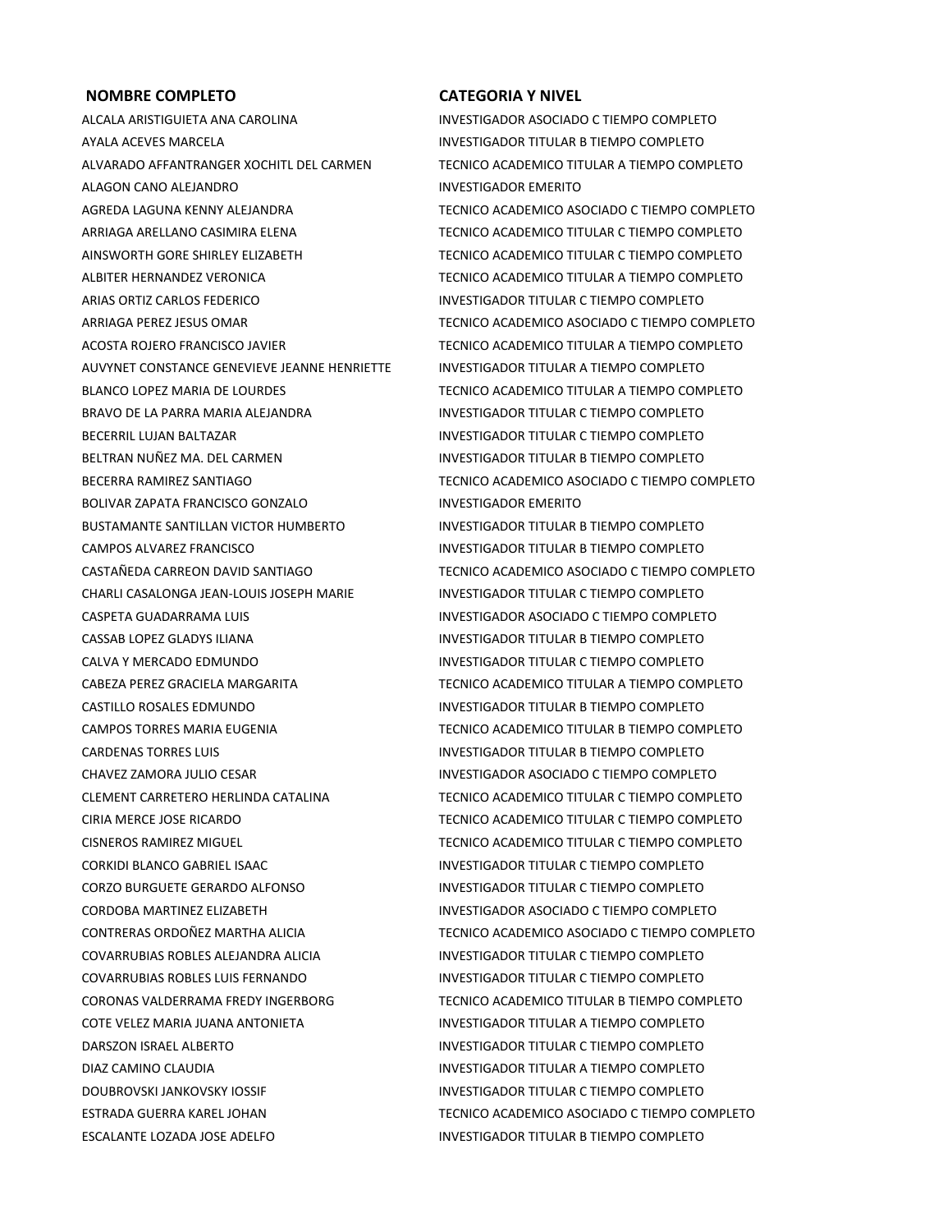## **NOMBRE COMPLETO CATEGORIA Y NIVEL**

ALCALA ARISTIGUIETA ANA CAROLINA INVESTIGADOR ASOCIADO C TIEMPO COMPLETO AYALA ACEVES MARCELA INVESTIGADOR TITULAR B TIEMPO COMPLETO ALVARADO AFFANTRANGER XOCHITL DEL CARMEN TECNICO ACADEMICO TITULAR A TIEMPO COMPLETO ALAGON CANO ALEJANDRO **INVESTIGADOR EMERITO** AGREDA LAGUNA KENNY ALEJANDRA TECNICO ACADEMICO ASOCIADO C TIEMPO COMPLETO AINSWORTH GORE SHIRLEY ELIZABETH TECNICO ACADEMICO TITULAR C TIEMPO COMPLETO ARIAS ORTIZ CARLOS FEDERICO INVESTIGADOR TITULAR C TIEMPO COMPLETO AUVYNET CONSTANCE GENEVIEVE JEANNE HENRIETTE INVESTIGADOR TITULAR A TIEMPO COMPLETO BRAVO DE LA PARRA MARIA ALEJANDRA IN INVESTIGADOR TITULAR C TIEMPO COMPLETO BECERRIL LUJAN BALTAZAR **INGGREGIA DE SECERE EN SECERRIL LUJAN BALTAZAR** COMPLETO BELTRAN NUÑEZ MA. DEL CARMEN INVESTIGADOR TITULAR B TIEMPO COMPLETO BOLIVAR ZAPATA FRANCISCO GONZALO INVESTIGADOR EMERITO BUSTAMANTE SANTILLAN VICTOR HUMBERTO **INVESTIGADOR TITULAR B TIEMPO COMPLETO** CAMPOS ALVAREZ FRANCISCO INVESTIGADOR TITULAR B TIEMPO COMPLETO CHARLI CASALONGA JEAN-LOUIS JOSEPH MARIE INVESTIGADOR TITULAR C TIEMPO COMPLETO CASPETA GUADARRAMA LUIS INVESTIGADOR ASOCIADO C TIEMPO COMPLETO CASSAB LOPEZ GLADYS ILIANA INVESTIGADOR TITULAR B TIEMPO COMPLETO CALVA Y MERCADO EDMUNDO **INVESTIGADOR TITULAR C TIEMPO COMPLETO** CASTILLO ROSALES EDMUNDO **INVESTIGADOR TITULAR B TIEMPO COMPLETO** CARDENAS TORRES LUIS INVESTIGADOR TITULAR B TIEMPO COMPLETO CHAVEZ ZAMORA JULIO CESAR INVESTIGADOR ASOCIADO C TIEMPO COMPLETO CORKIDI BLANCO GABRIEL ISAAC **INVESTIGADOR TITULAR C TIEMPO COMPLETO** CORZO BURGUETE GERARDO ALFONSO INVESTIGADOR TITULAR C TIEMPO COMPLETO CORDOBA MARTINEZ ELIZABETH INVESTIGADOR ASOCIADO C TIEMPO COMPLETO COVARRUBIAS ROBLES ALEJANDRA ALICIA INVESTIGADOR TITULAR C TIEMPO COMPLETO COVARRUBIAS ROBLES LUIS FERNANDO INVESTIGADOR TITULAR C TIEMPO COMPLETO COTE VELEZ MARIA JUANA ANTONIETA INVESTIGADOR TITULAR A TIEMPO COMPLETO DARSZON ISRAEL ALBERTO INVESTIGADOR TITULAR C TIEMPO COMPLETO DIAZ CAMINO CLAUDIA INVESTIGADOR TITULAR A TIEMPO COMPLETO DOUBROVSKI JANKOVSKY IOSSIF INVESTIGADOR TITULAR C TIEMPO COMPLETO ESCALANTE LOZADA JOSE ADELFO **investigador titular b tiempo completo** 

ARRIAGA ARELLANO CASIMIRA ELENA TECNICO ACADEMICO TITULAR C TIEMPO COMPLETO ALBITER HERNANDEZ VERONICA TECNICO ACADEMICO TITULAR A TIEMPO COMPLETO ARRIAGA PEREZ JESUS OMAR TECNICO ACADEMICO ASOCIADO C TIEMPO COMPLETO ACOSTA ROJERO FRANCISCO JAVIER TECNICO ACADEMICO TITULAR A TIEMPO COMPLETO BLANCO LOPEZ MARIA DE LOURDES TECNICO ACADEMICO TITULAR A TIEMPO COMPLETO BECERRA RAMIREZ SANTIAGO **TECNICO ACADEMICO ACADEMICO ASOCIADO C** TIEMPO COMPLETO

CASTAÑEDA CARREON DAVID SANTIAGO TECNICO ACADEMICO ASOCIADO C TIEMPO COMPLETO CABEZA PEREZ GRACIELA MARGARITA TECNICO ACADEMICO TITULAR A TIEMPO COMPLETO CAMPOS TORRES MARIA EUGENIA TECNICO ACADEMICO TITULAR B TIEMPO COMPLETO CLEMENT CARRETERO HERLINDA CATALINA TECNICO ACADEMICO TITULAR C TIEMPO COMPLETO CIRIA MERCE JOSE RICARDO **TECNICO ACADEMICO TITULAR C TIEMPO COMPLETO** CISNEROS RAMIREZ MIGUEL TECNICO ACADEMICO TITULAR C TIEMPO COMPLETO CONTRERAS ORDOÑEZ MARTHA ALICIA TECNICO ACADEMICO ASOCIADO C TIEMPO COMPLETO CORONAS VALDERRAMA FREDY INGERBORG TECNICO ACADEMICO TITULAR B TIEMPO COMPLETO ESTRADA GUERRA KAREL JOHAN TECNICO ACADEMICO ASOCIADO C TIEMPO COMPLETO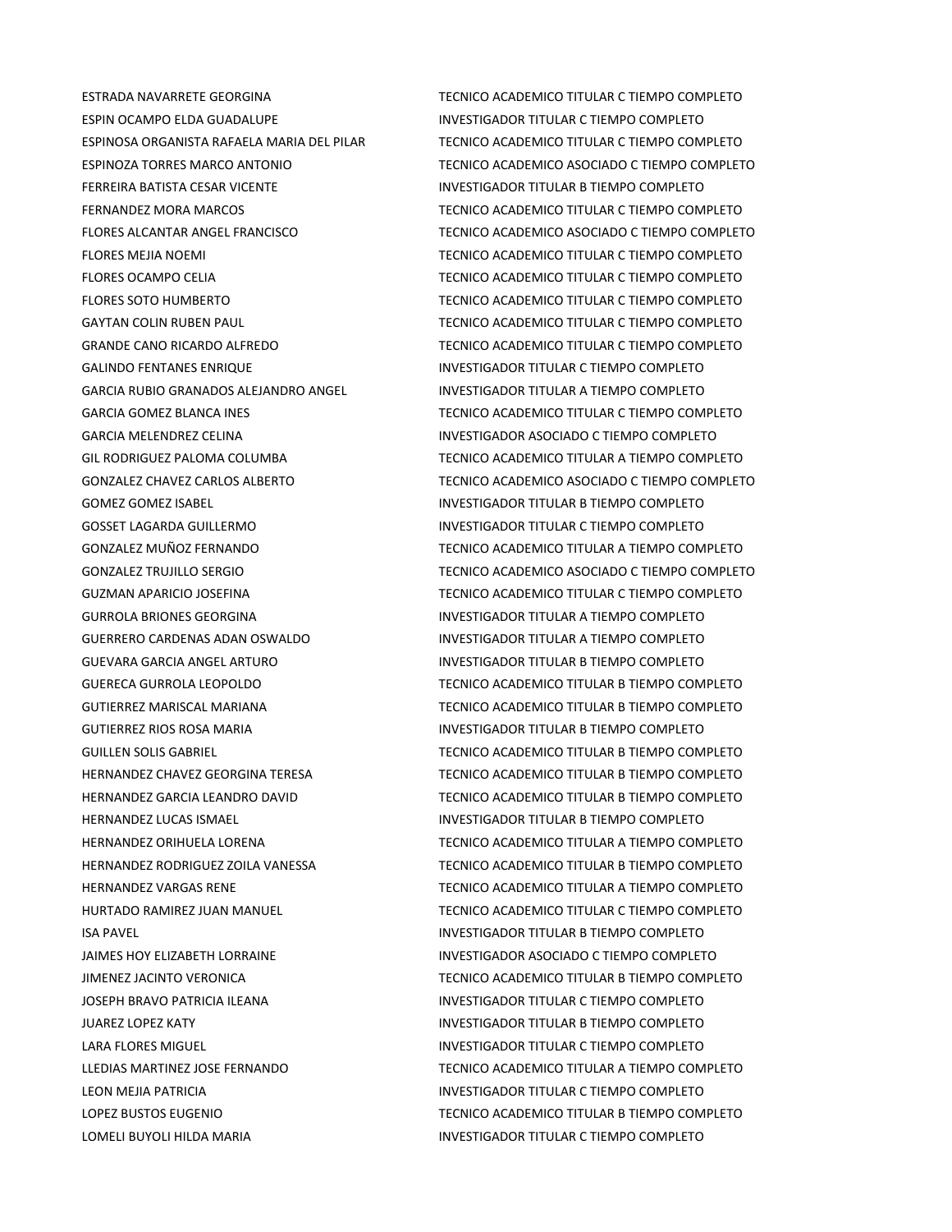ESPIN OCAMPO ELDA GUADALUPE **investigador titular citiempo completo** FERREIRA BATISTA CESAR VICENTE **INVESTIGADOR TITULAR B TIEMPO COMPLETO** GALINDO FENTANES ENRIQUE **INVESTIGADOR TITULAR C TIEMPO COMPLETO** GARCIA RUBIO GRANADOS ALEJANDRO ANGEL INVESTIGADOR TITULAR A TIEMPO COMPLETO GOMEZ GOMEZ ISABEL **INVESTIGADOR TITULAR B TIEMPO COMPLETO** GOSSET LAGARDA GUILLERMO **INVESTIGADOR TITULAR C TIEMPO COMPLETO** GURROLA BRIONES GEORGINA INVESTIGADOR TITULAR A TIEMPO COMPLETO GUERRERO CARDENAS ADAN OSWALDO **INVESTIGADOR TITULAR A TIEMPO COMPLETO** GUEVARA GARCIA ANGEL ARTURO INVESTIGADOR TITULAR B TIEMPO COMPLETO GUTIERREZ RIOS ROSA MARIA **INVESTIGADOR TITULAR B TIEMPO COMPLETO** HERNANDEZ LUCAS ISMAEL **INVESTIGADOR TITULAR B TIEMPO COMPLETO** ISA PAVEL **INVESTIGADOR TITULAR B TIEMPO COMPLETO** JOSEPH BRAVO PATRICIA ILEANA INVESTIGADOR TITULAR C TIEMPO COMPLETO JUAREZ LOPEZ KATY INVESTIGADOR TITULAR B TIEMPO COMPLETO LARA FLORES MIGUEL **INVESTIGADOR TITULAR C TIEMPO COMPLETO** LEON MEJIA PATRICIA INVESTIGADOR TITULAR C TIEMPO COMPLETO LOMELI BUYOLI HILDA MARIA **INGLETO E LOMENTI DE SE EN ENGLES**TIGADOR TITULAR C TIEMPO COMPLETO

ESTRADA NAVARRETE GEORGINA TECNICO ACADEMICO TITULAR C TIEMPO COMPLETO ESPINOSA ORGANISTA RAFAELA MARIA DEL PILAR TECNICO ACADEMICO TITULAR C TIEMPO COMPLETO ESPINOZA TORRES MARCO ANTONIO TECNICO ACADEMICO ASOCIADO C TIEMPO COMPLETO FERNANDEZ MORA MARCOS TECNICO ACADEMICO TITULAR C TIEMPO COMPLETO FLORES ALCANTAR ANGEL FRANCISCO TECNICO ACADEMICO ASOCIADO C TIEMPO COMPLETO FLORES MEJIA NOEMI TECNICO ACADEMICO TITULAR C TIEMPO COMPLETO FLORES OCAMPO CELIA TECNICO ACADEMICO TITULAR C TIEMPO COMPLETO FLORES SOTO HUMBERTO **TECNICO ACADEMICO TITULAR C TIEMPO COMPLETO** GAYTAN COLIN RUBEN PAUL TECNICO ACADEMICO TITULAR C TIEMPO COMPLETO GRANDE CANO RICARDO ALFREDO TECNICO ACADEMICO TITULAR C TIEMPO COMPLETO GARCIA GOMEZ BLANCA INES **TECNICO ACADEMICO TITULAR C TIEMPO COMPLETO** GARCIA MELENDREZ CELINA INVESTIGADOR ASOCIADO C TIEMPO COMPLETO GIL RODRIGUEZ PALOMA COLUMBA TECNICO ACADEMICO TITULAR A TIEMPO COMPLETO GONZALEZ CHAVEZ CARLOS ALBERTO TECNICO ACADEMICO ASOCIADO C TIEMPO COMPLETO GONZALEZ MUÑOZ FERNANDO TECNICO ACADEMICO TITULAR A TIEMPO COMPLETO GONZALEZ TRUJILLO SERGIO TECNICO ACADEMICO ASOCIADO C TIEMPO COMPLETO GUZMAN APARICIO JOSEFINA TECNICO ACADEMICO TITULAR C TIEMPO COMPLETO GUERECA GURROLA LEOPOLDO TECNICO ACADEMICO TITULAR B TIEMPO COMPLETO GUTIERREZ MARISCAL MARIANA TECNICO ACADEMICO TITULAR B TIEMPO COMPLETO GUILLEN SOLIS GABRIEL TECNICO ACADEMICO TITULAR B TIEMPO COMPLETO HERNANDEZ CHAVEZ GEORGINA TERESA TECNICO ACADEMICO TITULAR B TIEMPO COMPLETO HERNANDEZ GARCIA LEANDRO DAVID TECNICO ACADEMICO TITULAR B TIEMPO COMPLETO HERNANDEZ ORIHUELA LORENA TECNICO ACADEMICO TITULAR A TIEMPO COMPLETO HERNANDEZ RODRIGUEZ ZOILA VANESSA TECNICO ACADEMICO TITULAR B TIEMPO COMPLETO HERNANDEZ VARGAS RENE TECNICO ACADEMICO TITULAR A TIEMPO COMPLETO HURTADO RAMIREZ JUAN MANUEL TECNICO ACADEMICO TITULAR C TIEMPO COMPLETO JAIMES HOY ELIZABETH LORRAINE **INVESTIGADOR ASOCIADO C TIEMPO COMPLETO** JIMENEZ JACINTO VERONICA TECNICO ACADEMICO TITULAR B TIEMPO COMPLETO LLEDIAS MARTINEZ JOSE FERNANDO TECNICO ACADEMICO TITULAR A TIEMPO COMPLETO LOPEZ BUSTOS EUGENIO TECNICO ACADEMICO TITULAR B TIEMPO COMPLETO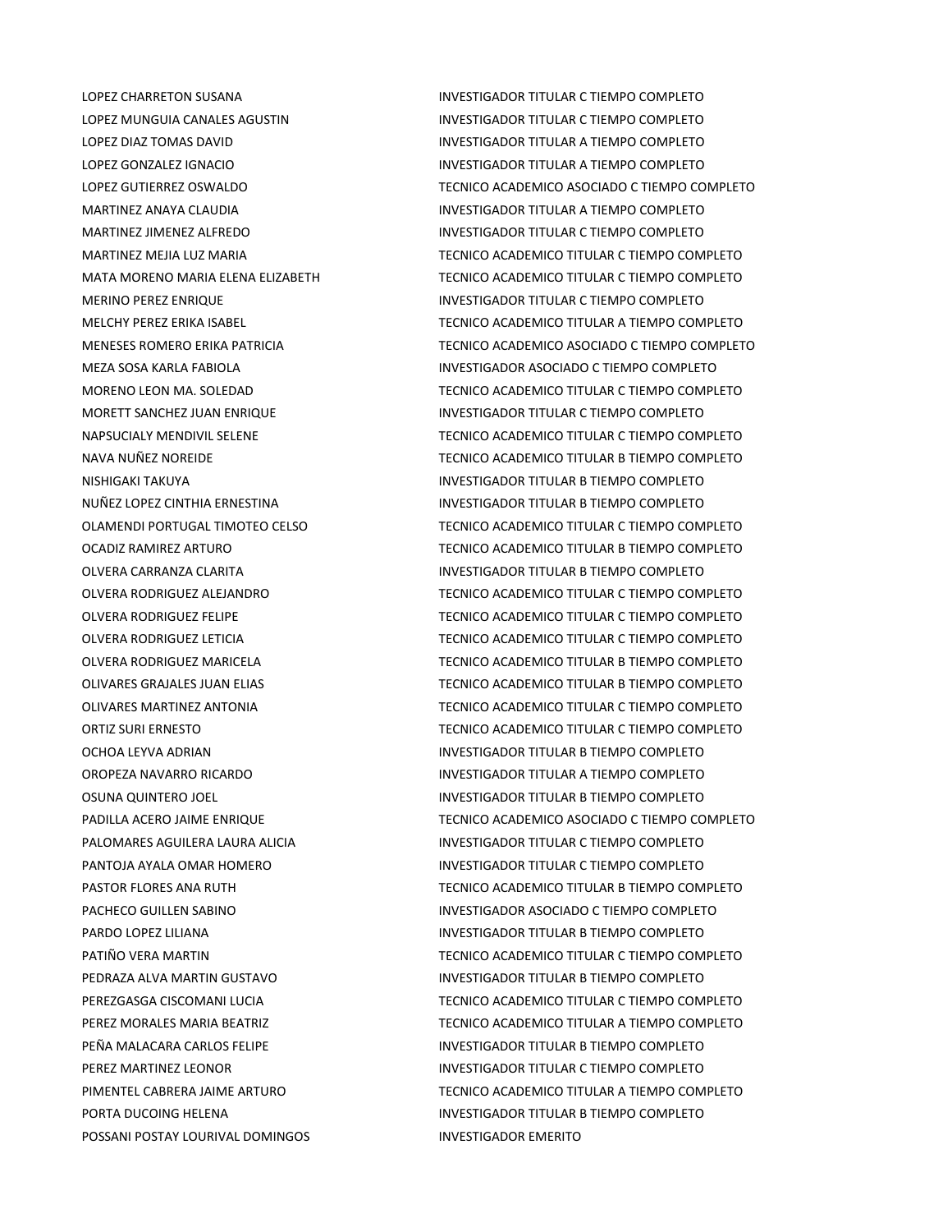POSSANI POSTAY LOURIVAL DOMINGOS INVESTIGADOR EMERITO

LOPEZ CHARRETON SUSANA **INVESTIGADOR TITULAR C TIEMPO COMPLETO** LOPEZ MUNGUIA CANALES AGUSTIN INVESTIGADOR TITULAR C TIEMPO COMPLETO LOPEZ DIAZ TOMAS DAVID INVESTIGADOR TITULAR A TIEMPO COMPLETO LOPEZ GONZALEZ IGNACIO INVESTIGADOR TITULAR A TIEMPO COMPLETO LOPEZ GUTIERREZ OSWALDO **TECNICO ACADEMICO ACADEMICO ASOCIADO C** TIEMPO COMPLETO MARTINEZ ANAYA CLAUDIA INVESTIGADOR TITULAR A TIEMPO COMPLETO MARTINEZ JIMENEZ ALFREDO **INVESTIGADOR TITULAR C TIEMPO COMPLETO** MARTINEZ MEJIA LUZ MARIA TECNICO ACADEMICO TITULAR C TIEMPO COMPLETO MATA MORENO MARIA ELENA ELIZABETH TECNICO ACADEMICO TITULAR C TIEMPO COMPLETO MERINO PEREZ ENRIQUE INVESTIGADOR TITULAR C TIEMPO COMPLETO MELCHY PEREZ ERIKA ISABEL TECNICO ACADEMICO TITULAR A TIEMPO COMPLETO MENESES ROMERO ERIKA PATRICIA TECNICO ACADEMICO ASOCIADO C TIEMPO COMPLETO MEZA SOSA KARLA FABIOLA INVESTIGADOR ASOCIADO C TIEMPO COMPLETO MORENO LEON MA. SOLEDAD TECNICO ACADEMICO TITULAR C TIEMPO COMPLETO MORETT SANCHEZ JUAN ENRIQUE INVESTIGADOR TITULAR C TIEMPO COMPLETO NAPSUCIALY MENDIVIL SELENE TECNICO ACADEMICO TITULAR C TIEMPO COMPLETO NAVA NUÑEZ NOREIDE TECNICO ACADEMICO TITULAR B TIEMPO COMPLETO NISHIGAKI TAKUYA INVESTIGADOR TITULAR B TIEMPO COMPLETO NUÑEZ LOPEZ CINTHIA ERNESTINA INVESTIGADOR TITULAR B TIEMPO COMPLETO OLAMENDI PORTUGAL TIMOTEO CELSO TECNICO ACADEMICO TITULAR C TIEMPO COMPLETO OCADIZ RAMIREZ ARTURO TECNICO ACADEMICO TITULAR B TIEMPO COMPLETO OLVERA CARRANZA CLARITA INVESTIGADOR TITULAR B TIEMPO COMPLETO OLVERA RODRIGUEZ ALEJANDRO TECNICO ACADEMICO TITULAR C TIEMPO COMPLETO OLVERA RODRIGUEZ FELIPE TECNICO ACADEMICO TITULAR C TIEMPO COMPLETO OLVERA RODRIGUEZ LETICIA TECNICO ACADEMICO TITULAR C TIEMPO COMPLETO OLVERA RODRIGUEZ MARICELA TECNICO ACADEMICO TITULAR B TIEMPO COMPLETO OLIVARES GRAJALES JUAN ELIAS TECNICO ACADEMICO TITULAR B TIEMPO COMPLETO OLIVARES MARTINEZ ANTONIA TECNICO ACADEMICO TITULAR C TIEMPO COMPLETO ORTIZ SURI ERNESTO TECNICO ACADEMICO TITULAR C TIEMPO COMPLETO OCHOA LEYVA ADRIAN **INVESTIGADOR TITULAR B TIEMPO COMPLETO** OROPEZA NAVARRO RICARDO INVESTIGADOR TITULAR A TIEMPO COMPLETO OSUNA QUINTERO JOEL **INVESTIGADOR TITULAR B TIEMPO COMPLETO** PADILLA ACERO JAIME ENRIQUE TECNICO ACADEMICO ASOCIADO C TIEMPO COMPLETO PALOMARES AGUILERA LAURA ALICIA INVESTIGADOR TITULAR C TIEMPO COMPLETO PANTOJA AYALA OMAR HOMERO **INVESTIGADOR TITULAR C TIEMPO COMPLETO** PASTOR FLORES ANA RUTH TECNICO ACADEMICO TITULAR B TIEMPO COMPLETO PACHECO GUILLEN SABINO INVESTIGADOR ASOCIADO C TIEMPO COMPLETO PARDO LOPEZ LILIANA **INVESTIGADOR TITULAR B TIEMPO COMPLETO** PATIÑO VERA MARTIN TECNICO ACADEMICO TITULAR C TIEMPO COMPLETO PEDRAZA ALVA MARTIN GUSTAVO INVESTIGADOR TITULAR B TIEMPO COMPLETO PEREZGASGA CISCOMANI LUCIA TECNICO ACADEMICO TITULAR C TIEMPO COMPLETO PEREZ MORALES MARIA BEATRIZ TECNICO ACADEMICO TITULAR A TIEMPO COMPLETO PEÑA MALACARA CARLOS FELIPE **interestado en el establecer en el establecer en el establecer en el establecer e** PEREZ MARTINEZ LEONOR INVESTIGADOR TITULAR C TIEMPO COMPLETO PIMENTEL CABRERA JAIME ARTURO TECNICO ACADEMICO TITULAR A TIEMPO COMPLETO PORTA DUCOING HELENA **INVESTIGADOR TITULAR B TIEMPO COMPLETO**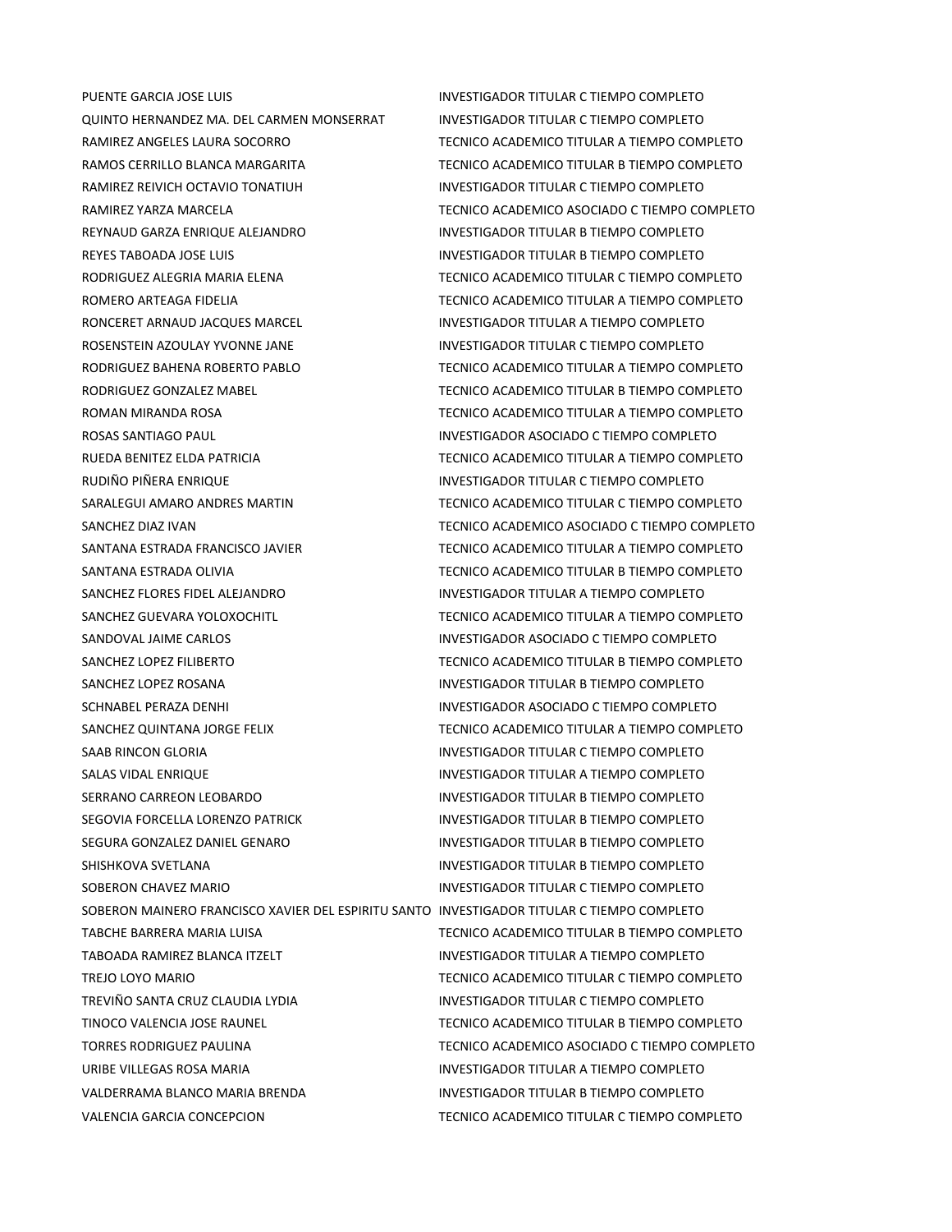PUENTE GARCIA JOSE LUIS **INVESTIGADOR TITULAR C TIEMPO COMPLETO** QUINTO HERNANDEZ MA. DEL CARMEN MONSERRAT INVESTIGADOR TITULAR C TIEMPO COMPLETO RAMIREZ ANGELES LAURA SOCORRO TECNICO ACADEMICO TITULAR A TIEMPO COMPLETO RAMOS CERRILLO BLANCA MARGARITA TECNICO ACADEMICO TITULAR B TIEMPO COMPLETO RAMIREZ REIVICH OCTAVIO TONATIUH INVESTIGADOR TITULAR C TIEMPO COMPLETO RAMIREZ YARZA MARCELA TECNICO ACADEMICO ASOCIADO C TIEMPO COMPLETO REYNAUD GARZA ENRIQUE ALEJANDRO **INVESTIGADOR TITULAR B TIEMPO COMPLETO** REYES TABOADA JOSE LUIS **INVESTIGADOR TITULAR B TIEMPO COMPLETO** RODRIGUEZ ALEGRIA MARIA ELENA TECNICO ACADEMICO TITULAR C TIEMPO COMPLETO ROMERO ARTEAGA FIDELIA TECNICO ACADEMICO TITULAR A TIEMPO COMPLETO RONCERET ARNAUD JACQUES MARCEL **INVESTIGADOR TITULAR A TIEMPO COMPLETO** ROSENSTEIN AZOULAY YVONNE JANE INVESTIGADOR TITULAR C TIEMPO COMPLETO RODRIGUEZ BAHENA ROBERTO PABLO TECNICO ACADEMICO TITULAR A TIEMPO COMPLETO RODRIGUEZ GONZALEZ MABEL TECNICO ACADEMICO TITULAR B TIEMPO COMPLETO ROMAN MIRANDA ROSA TECNICO ACADEMICO TITULAR A TIEMPO COMPLETO ROSAS SANTIAGO PAUL **INVESTIGADOR ASOCIADO C TIEMPO COMPLETO** RUEDA BENITEZ ELDA PATRICIA TECNICO ACADEMICO TITULAR A TIEMPO COMPLETO RUDIÑO PIÑERA ENRIQUE INVESTIGADOR TITULAR C TIEMPO COMPLETO SARALEGUI AMARO ANDRES MARTIN TECNICO ACADEMICO TITULAR C TIEMPO COMPLETO SANCHEZ DIAZ IVAN TECNICO ACADEMICO ASOCIADO C TIEMPO COMPLETO SANTANA ESTRADA FRANCISCO JAVIER TECNICO ACADEMICO TITULAR A TIEMPO COMPLETO SANTANA ESTRADA OLIVIA **TECNICO ACADEMICO TITULAR B TIEMPO COMPLETO** SANCHEZ FLORES FIDEL ALEJANDRO **INVESTIGADOR TITULAR A TIEMPO COMPLETO** SANCHEZ GUEVARA YOLOXOCHITL TECNICO ACADEMICO TITULAR A TIEMPO COMPLETO SANDOVAL JAIME CARLOS **INVESTIGADOR ASOCIADO C TIEMPO COMPLETO** SANCHEZ LOPEZ FILIBERTO **TECNICO ACADEMICO TITULAR B TIEMPO COMPLETO** SANCHEZ LOPEZ ROSANA **INVESTIGADOR TITULAR B TIEMPO COMPLETO** SCHNABEL PERAZA DENHI INVESTIGADOR ASOCIADO C TIEMPO COMPLETO SANCHEZ QUINTANA JORGE FELIX TECNICO ACADEMICO TITULAR A TIEMPO COMPLETO SAAB RINCON GLORIA **INVESTIGADOR TITULAR C TIEMPO COMPLETO** SALAS VIDAL ENRIQUE **INVESTIGADOR TITULAR A TIEMPO COMPLETO** SERRANO CARREON LEOBARDO **INVESTIGADOR TITULAR B TIEMPO COMPLETO** SEGOVIA FORCELLA LORENZO PATRICK **INVESTIGADOR TITULAR B TIEMPO COMPLETO** SEGURA GONZALEZ DANIEL GENARO **INVESTIGADOR TITULAR B TIEMPO COMPLETO** SHISHKOVA SVETLANA **INVESTIGADOR TITULAR B TIEMPO COMPLETO** SOBERON CHAVEZ MARIO **INVESTIGADOR TITULAR C TIEMPO COMPLETO** SOBERON MAINERO FRANCISCO XAVIER DEL ESPIRITU SANTO INVESTIGADOR TITULAR C TIEMPO COMPLETO TABCHE BARRERA MARIA LUISA TECNICO ACADEMICO TITULAR B TIEMPO COMPLETO TABOADA RAMIREZ BLANCA ITZELT INVESTIGADOR TITULAR A TIEMPO COMPLETO TREJO LOYO MARIO TECNICO ACADEMICO TITULAR C TIEMPO COMPLETO TREVIÑO SANTA CRUZ CLAUDIA LYDIA INVESTIGADOR TITULAR C TIEMPO COMPLETO TINOCO VALENCIA JOSE RAUNEL TECNICO ACADEMICO TITULAR B TIEMPO COMPLETO TORRES RODRIGUEZ PAULINA TECNICO ACADEMICO ASOCIADO C TIEMPO COMPLETO URIBE VILLEGAS ROSA MARIA INVESTIGADOR TITULAR A TIEMPO COMPLETO VALDERRAMA BLANCO MARIA BRENDA INVESTIGADOR TITULAR B TIEMPO COMPLETO VALENCIA GARCIA CONCEPCION TECNICO ACADEMICO TITULAR C TIEMPO COMPLETO